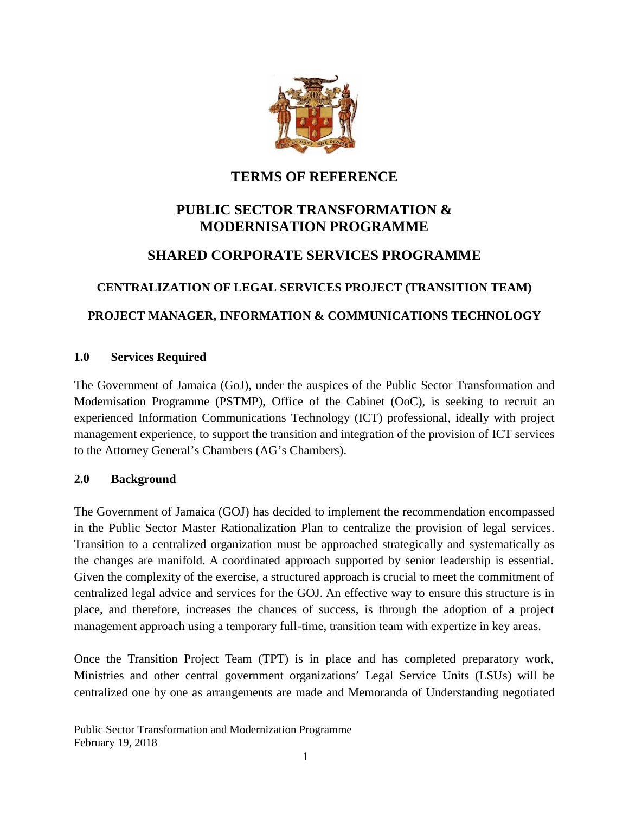

# **TERMS OF REFERENCE**

# **PUBLIC SECTOR TRANSFORMATION & MODERNISATION PROGRAMME**

# **SHARED CORPORATE SERVICES PROGRAMME**

# **CENTRALIZATION OF LEGAL SERVICES PROJECT (TRANSITION TEAM)**

# **PROJECT MANAGER, INFORMATION & COMMUNICATIONS TECHNOLOGY**

### **1.0 Services Required**

The Government of Jamaica (GoJ), under the auspices of the Public Sector Transformation and Modernisation Programme (PSTMP), Office of the Cabinet (OoC), is seeking to recruit an experienced Information Communications Technology (ICT) professional, ideally with project management experience, to support the transition and integration of the provision of ICT services to the Attorney General's Chambers (AG's Chambers).

### **2.0 Background**

The Government of Jamaica (GOJ) has decided to implement the recommendation encompassed in the Public Sector Master Rationalization Plan to centralize the provision of legal services. Transition to a centralized organization must be approached strategically and systematically as the changes are manifold. A coordinated approach supported by senior leadership is essential. Given the complexity of the exercise, a structured approach is crucial to meet the commitment of centralized legal advice and services for the GOJ. An effective way to ensure this structure is in place, and therefore, increases the chances of success, is through the adoption of a project management approach using a temporary full-time, transition team with expertize in key areas.

Once the Transition Project Team (TPT) is in place and has completed preparatory work, Ministries and other central government organizations' Legal Service Units (LSUs) will be centralized one by one as arrangements are made and Memoranda of Understanding negotiated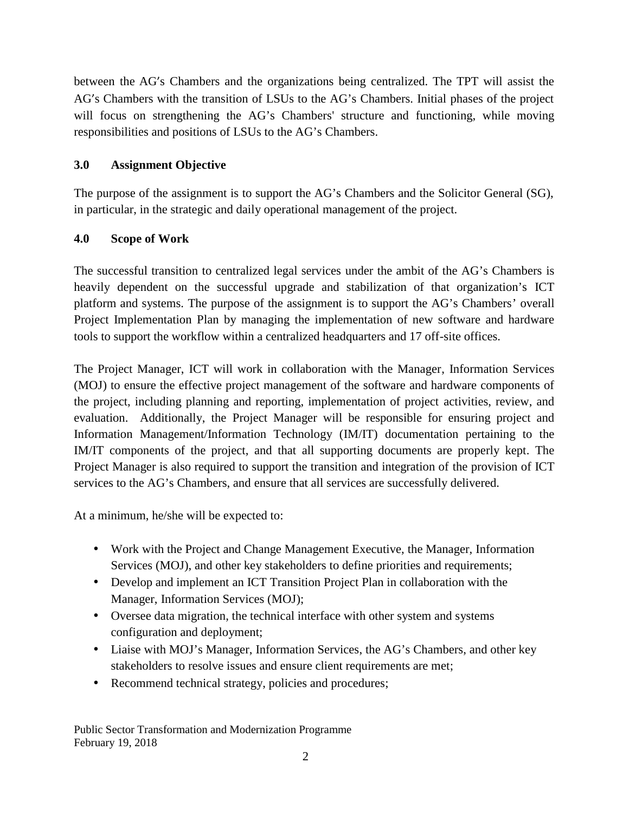between the AG's Chambers and the organizations being centralized. The TPT will assist the AG's Chambers with the transition of LSUs to the AG's Chambers. Initial phases of the project will focus on strengthening the AG's Chambers' structure and functioning, while moving responsibilities and positions of LSUs to the AG's Chambers.

### **3.0 Assignment Objective**

The purpose of the assignment is to support the AG's Chambers and the Solicitor General (SG), in particular, in the strategic and daily operational management of the project.

## **4.0 Scope of Work**

The successful transition to centralized legal services under the ambit of the AG's Chambers is heavily dependent on the successful upgrade and stabilization of that organization's ICT platform and systems. The purpose of the assignment is to support the AG's Chambers' overall Project Implementation Plan by managing the implementation of new software and hardware tools to support the workflow within a centralized headquarters and 17 off-site offices.

The Project Manager, ICT will work in collaboration with the Manager, Information Services (MOJ) to ensure the effective project management of the software and hardware components of the project, including planning and reporting, implementation of project activities, review, and evaluation. Additionally, the Project Manager will be responsible for ensuring project and Information Management/Information Technology (IM/IT) documentation pertaining to the IM/IT components of the project, and that all supporting documents are properly kept. The Project Manager is also required to support the transition and integration of the provision of ICT services to the AG's Chambers, and ensure that all services are successfully delivered.

At a minimum, he/she will be expected to:

- Work with the Project and Change Management Executive, the Manager, Information Services (MOJ), and other key stakeholders to define priorities and requirements;
- Develop and implement an ICT Transition Project Plan in collaboration with the Manager, Information Services (MOJ);
- Oversee data migration, the technical interface with other system and systems configuration and deployment;
- Liaise with MOJ's Manager, Information Services, the AG's Chambers, and other key stakeholders to resolve issues and ensure client requirements are met;
- Recommend technical strategy, policies and procedures;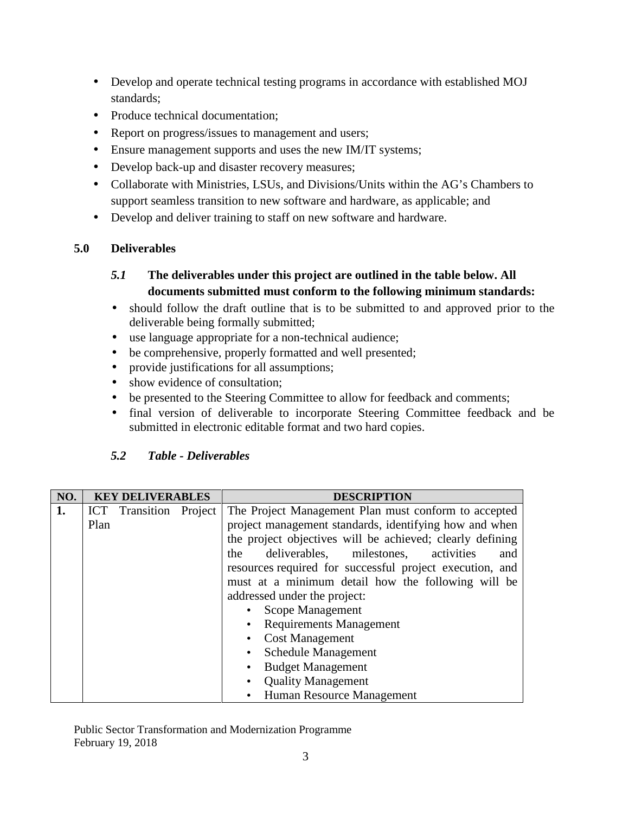- Develop and operate technical testing programs in accordance with established MOJ standards;
- Produce technical documentation:
- Report on progress/issues to management and users;
- Ensure management supports and uses the new IM/IT systems;
- Develop back-up and disaster recovery measures;
- Collaborate with Ministries, LSUs, and Divisions/Units within the AG's Chambers to support seamless transition to new software and hardware, as applicable; and
- Develop and deliver training to staff on new software and hardware.

## **5.0 Deliverables**

# *5.1* **The deliverables under this project are outlined in the table below. All documents submitted must conform to the following minimum standards:**

- should follow the draft outline that is to be submitted to and approved prior to the deliverable being formally submitted;
- use language appropriate for a non-technical audience;
- be comprehensive, properly formatted and well presented;
- provide justifications for all assumptions;
- show evidence of consultation;
- be presented to the Steering Committee to allow for feedback and comments;
- final version of deliverable to incorporate Steering Committee feedback and be submitted in electronic editable format and two hard copies.

## *5.2 Table - Deliverables*

| NO. | <b>KEY DELIVERABLES</b> |                               |  | <b>DESCRIPTION</b>                                        |
|-----|-------------------------|-------------------------------|--|-----------------------------------------------------------|
| 1.  |                         | <b>ICT</b> Transition Project |  | The Project Management Plan must conform to accepted      |
|     | Plan                    |                               |  | project management standards, identifying how and when    |
|     |                         |                               |  | the project objectives will be achieved; clearly defining |
|     |                         |                               |  | deliverables, milestones,<br>activities<br>the<br>and     |
|     |                         |                               |  | resources required for successful project execution, and  |
|     |                         |                               |  | must at a minimum detail how the following will be        |
|     |                         |                               |  | addressed under the project:                              |
|     |                         |                               |  | Scope Management                                          |
|     |                         |                               |  | <b>Requirements Management</b>                            |
|     |                         |                               |  | <b>Cost Management</b>                                    |
|     |                         |                               |  | <b>Schedule Management</b>                                |
|     |                         |                               |  | <b>Budget Management</b>                                  |
|     |                         |                               |  | <b>Quality Management</b>                                 |
|     |                         |                               |  | Human Resource Management                                 |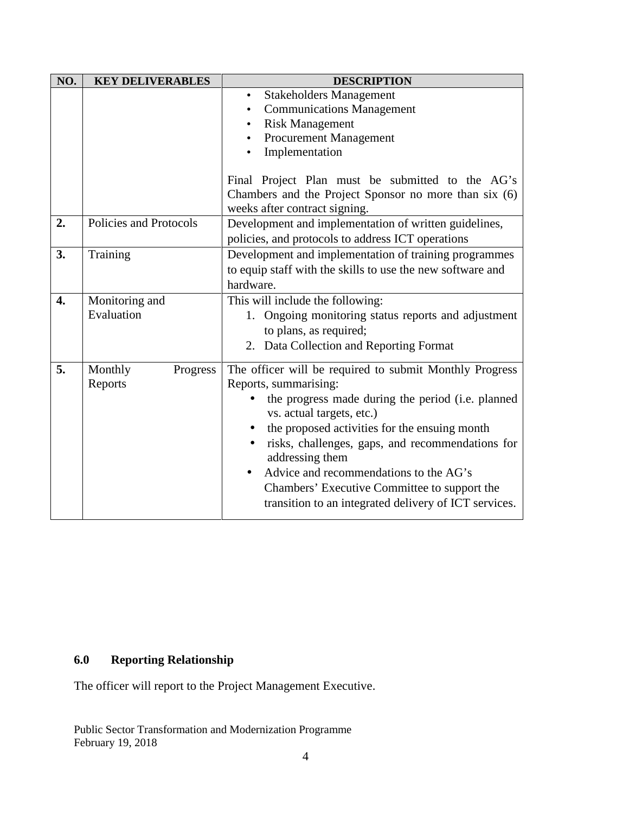| NO. | <b>KEY DELIVERABLES</b>        | <b>DESCRIPTION</b>                                                               |
|-----|--------------------------------|----------------------------------------------------------------------------------|
|     |                                | <b>Stakeholders Management</b><br>$\bullet$                                      |
|     |                                | <b>Communications Management</b>                                                 |
|     |                                | <b>Risk Management</b><br>$\bullet$                                              |
|     |                                | <b>Procurement Management</b><br>$\bullet$<br>Implementation                     |
|     |                                |                                                                                  |
|     |                                | Final Project Plan must be submitted to the AG's                                 |
|     |                                | Chambers and the Project Sponsor no more than six (6)                            |
|     |                                | weeks after contract signing.                                                    |
| 2.  | Policies and Protocols         | Development and implementation of written guidelines,                            |
|     |                                | policies, and protocols to address ICT operations                                |
| 3.  | Training                       | Development and implementation of training programmes                            |
|     |                                | to equip staff with the skills to use the new software and                       |
|     |                                | hardware.                                                                        |
| 4.  | Monitoring and                 | This will include the following:                                                 |
|     | Evaluation                     | 1. Ongoing monitoring status reports and adjustment                              |
|     |                                | to plans, as required;<br>2. Data Collection and Reporting Format                |
|     |                                |                                                                                  |
| 5.  | Monthly<br>Progress<br>Reports | The officer will be required to submit Monthly Progress<br>Reports, summarising: |
|     |                                | the progress made during the period (i.e. planned<br>vs. actual targets, etc.)   |
|     |                                | the proposed activities for the ensuing month                                    |
|     |                                | risks, challenges, gaps, and recommendations for<br>$\bullet$<br>addressing them |
|     |                                | Advice and recommendations to the AG's                                           |
|     |                                | Chambers' Executive Committee to support the                                     |
|     |                                | transition to an integrated delivery of ICT services.                            |
|     |                                |                                                                                  |

# **6.0 Reporting Relationship**

The officer will report to the Project Management Executive.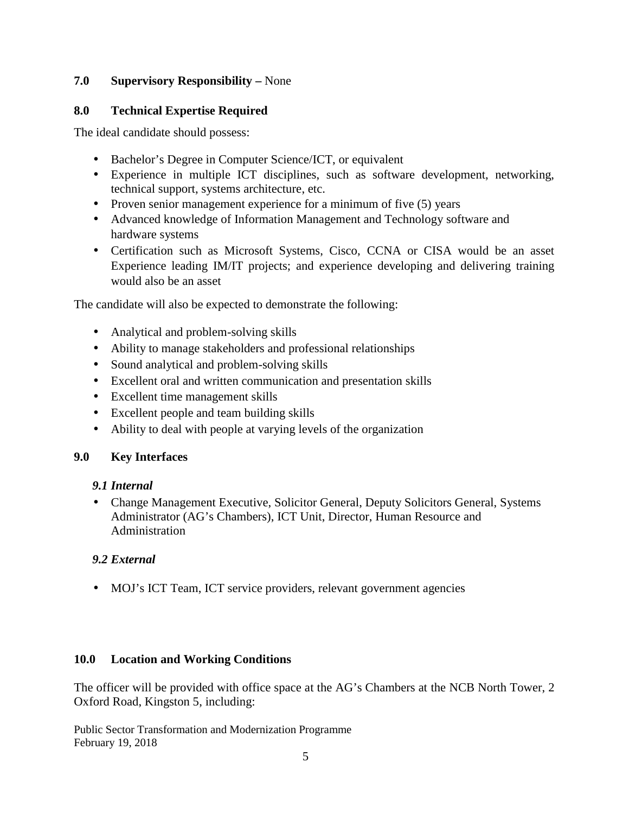### **7.0 Supervisory Responsibility –** None

### **8.0 Technical Expertise Required**

The ideal candidate should possess:

- Bachelor's Degree in Computer Science/ICT, or equivalent
- Experience in multiple ICT disciplines, such as software development, networking, technical support, systems architecture, etc.
- Proven senior management experience for a minimum of five  $(5)$  years
- Advanced knowledge of Information Management and Technology software and hardware systems
- Certification such as Microsoft Systems, Cisco, CCNA or CISA would be an asset Experience leading IM/IT projects; and experience developing and delivering training would also be an asset

The candidate will also be expected to demonstrate the following:

- Analytical and problem-solving skills
- Ability to manage stakeholders and professional relationships
- Sound analytical and problem-solving skills
- Excellent oral and written communication and presentation skills
- Excellent time management skills
- Excellent people and team building skills
- Ability to deal with people at varying levels of the organization

## **9.0 Key Interfaces**

### *9.1 Internal*

 Change Management Executive, Solicitor General, Deputy Solicitors General, Systems Administrator (AG's Chambers), ICT Unit, Director, Human Resource and Administration

## *9.2 External*

• MOJ's ICT Team, ICT service providers, relevant government agencies

### **10.0 Location and Working Conditions**

The officer will be provided with office space at the AG's Chambers at the NCB North Tower, 2 Oxford Road, Kingston 5, including:

Public Sector Transformation and Modernization Programme February 19, 2018